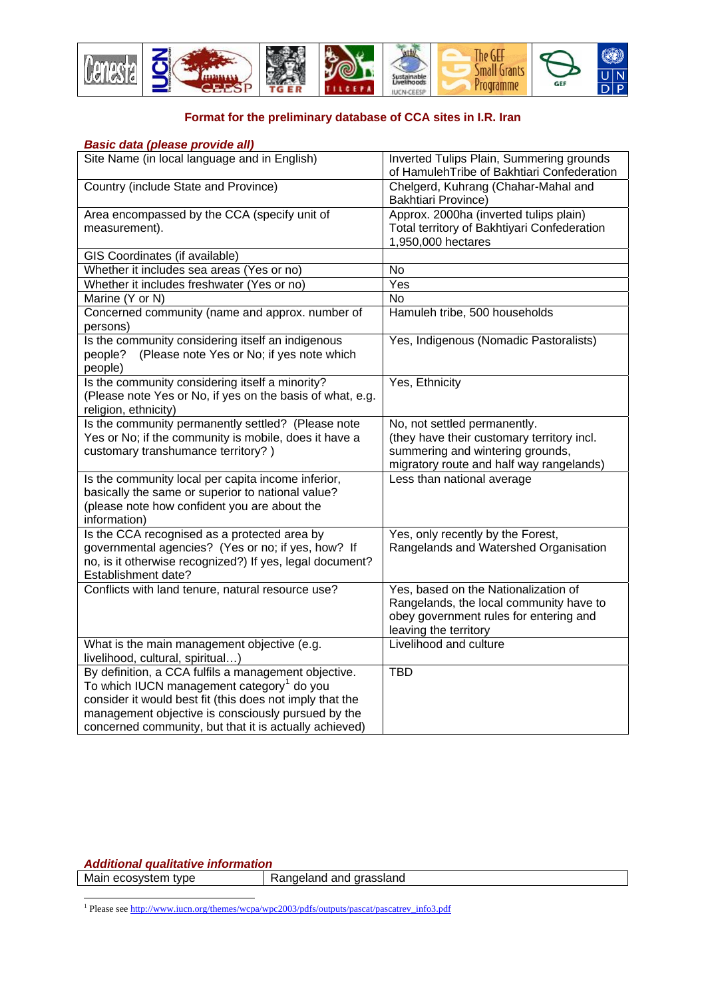

## **Format for the preliminary database of CCA sites in I.R. Iran**

| <b>Basic data (please provide all)</b>                                                                                               |                                                                                                                                                    |
|--------------------------------------------------------------------------------------------------------------------------------------|----------------------------------------------------------------------------------------------------------------------------------------------------|
| Site Name (in local language and in English)                                                                                         | Inverted Tulips Plain, Summering grounds<br>of HamulehTribe of Bakhtiari Confederation                                                             |
| Country (include State and Province)                                                                                                 | Chelgerd, Kuhrang (Chahar-Mahal and<br><b>Bakhtiari Province)</b>                                                                                  |
| Area encompassed by the CCA (specify unit of                                                                                         | Approx. 2000ha (inverted tulips plain)                                                                                                             |
| measurement).                                                                                                                        | Total territory of Bakhtiyari Confederation                                                                                                        |
|                                                                                                                                      | 1,950,000 hectares                                                                                                                                 |
| GIS Coordinates (if available)                                                                                                       |                                                                                                                                                    |
| Whether it includes sea areas (Yes or no)                                                                                            | No                                                                                                                                                 |
| Whether it includes freshwater (Yes or no)                                                                                           | Yes                                                                                                                                                |
| Marine (Y or N)                                                                                                                      | <b>No</b>                                                                                                                                          |
| Concerned community (name and approx. number of<br>persons)                                                                          | Hamuleh tribe, 500 households                                                                                                                      |
| Is the community considering itself an indigenous<br>(Please note Yes or No; if yes note which<br>people?<br>people)                 | Yes, Indigenous (Nomadic Pastoralists)                                                                                                             |
| Is the community considering itself a minority?<br>(Please note Yes or No, if yes on the basis of what, e.g.<br>religion, ethnicity) | Yes, Ethnicity                                                                                                                                     |
| Is the community permanently settled? (Please note                                                                                   | No, not settled permanently.                                                                                                                       |
| Yes or No; if the community is mobile, does it have a                                                                                | (they have their customary territory incl.                                                                                                         |
| customary transhumance territory?)                                                                                                   | summering and wintering grounds,                                                                                                                   |
|                                                                                                                                      | migratory route and half way rangelands)                                                                                                           |
| Is the community local per capita income inferior,                                                                                   | Less than national average                                                                                                                         |
| basically the same or superior to national value?<br>(please note how confident you are about the                                    |                                                                                                                                                    |
| information)                                                                                                                         |                                                                                                                                                    |
| Is the CCA recognised as a protected area by                                                                                         | Yes, only recently by the Forest,                                                                                                                  |
| governmental agencies? (Yes or no; if yes, how? If                                                                                   | Rangelands and Watershed Organisation                                                                                                              |
| no, is it otherwise recognized?) If yes, legal document?                                                                             |                                                                                                                                                    |
| Establishment date?                                                                                                                  |                                                                                                                                                    |
| Conflicts with land tenure, natural resource use?                                                                                    | Yes, based on the Nationalization of<br>Rangelands, the local community have to<br>obey government rules for entering and<br>leaving the territory |
| What is the main management objective (e.g.                                                                                          | Livelihood and culture                                                                                                                             |
| livelihood, cultural, spiritual)                                                                                                     |                                                                                                                                                    |
| By definition, a CCA fulfils a management objective.                                                                                 | <b>TBD</b>                                                                                                                                         |
| To which IUCN management category <sup>1</sup> do you                                                                                |                                                                                                                                                    |
| consider it would best fit (this does not imply that the                                                                             |                                                                                                                                                    |
| management objective is consciously pursued by the                                                                                   |                                                                                                                                                    |
| concerned community, but that it is actually achieved)                                                                               |                                                                                                                                                    |

*Additional qualitative information* 

Main ecosystem type Rangeland and grassland

<span id="page-0-0"></span>1<br>
<sup>1</sup> Please see http://www.iucn.org/themes/wcpa/wpc2003/pdfs/outputs/pascat/pascatrev\_info3.pdf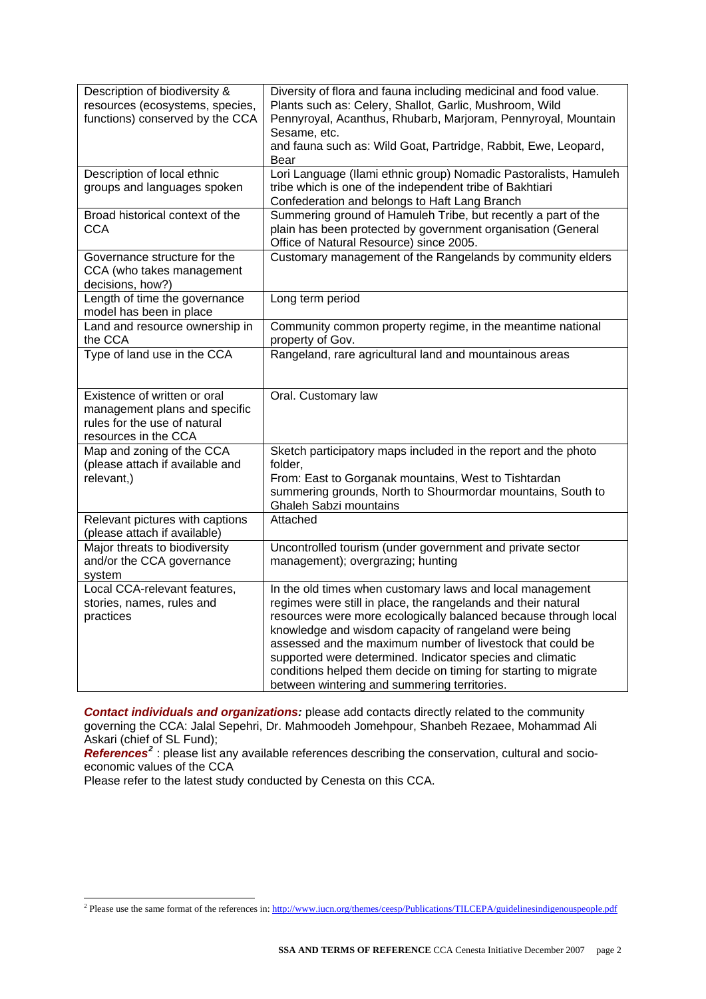| Description of biodiversity &<br>resources (ecosystems, species,<br>functions) conserved by the CCA                   | Diversity of flora and fauna including medicinal and food value.<br>Plants such as: Celery, Shallot, Garlic, Mushroom, Wild<br>Pennyroyal, Acanthus, Rhubarb, Marjoram, Pennyroyal, Mountain<br>Sesame, etc.<br>and fauna such as: Wild Goat, Partridge, Rabbit, Ewe, Leopard,<br>Bear                                                                                                                                                                                                               |
|-----------------------------------------------------------------------------------------------------------------------|------------------------------------------------------------------------------------------------------------------------------------------------------------------------------------------------------------------------------------------------------------------------------------------------------------------------------------------------------------------------------------------------------------------------------------------------------------------------------------------------------|
| Description of local ethnic<br>groups and languages spoken                                                            | Lori Language (Ilami ethnic group) Nomadic Pastoralists, Hamuleh<br>tribe which is one of the independent tribe of Bakhtiari<br>Confederation and belongs to Haft Lang Branch                                                                                                                                                                                                                                                                                                                        |
| Broad historical context of the<br><b>CCA</b>                                                                         | Summering ground of Hamuleh Tribe, but recently a part of the<br>plain has been protected by government organisation (General<br>Office of Natural Resource) since 2005.                                                                                                                                                                                                                                                                                                                             |
| Governance structure for the<br>CCA (who takes management<br>decisions, how?)                                         | Customary management of the Rangelands by community elders                                                                                                                                                                                                                                                                                                                                                                                                                                           |
| Length of time the governance<br>model has been in place                                                              | Long term period                                                                                                                                                                                                                                                                                                                                                                                                                                                                                     |
| Land and resource ownership in<br>the CCA                                                                             | Community common property regime, in the meantime national<br>property of Gov.                                                                                                                                                                                                                                                                                                                                                                                                                       |
| Type of land use in the CCA                                                                                           | Rangeland, rare agricultural land and mountainous areas                                                                                                                                                                                                                                                                                                                                                                                                                                              |
| Existence of written or oral<br>management plans and specific<br>rules for the use of natural<br>resources in the CCA | Oral. Customary law                                                                                                                                                                                                                                                                                                                                                                                                                                                                                  |
| Map and zoning of the CCA<br>(please attach if available and<br>relevant,)                                            | Sketch participatory maps included in the report and the photo<br>folder,<br>From: East to Gorganak mountains, West to Tishtardan<br>summering grounds, North to Shourmordar mountains, South to<br><b>Ghaleh Sabzi mountains</b>                                                                                                                                                                                                                                                                    |
| Relevant pictures with captions<br>(please attach if available)                                                       | Attached                                                                                                                                                                                                                                                                                                                                                                                                                                                                                             |
| Major threats to biodiversity<br>and/or the CCA governance<br>system                                                  | Uncontrolled tourism (under government and private sector<br>management); overgrazing; hunting                                                                                                                                                                                                                                                                                                                                                                                                       |
| Local CCA-relevant features,<br>stories, names, rules and<br>practices                                                | In the old times when customary laws and local management<br>regimes were still in place, the rangelands and their natural<br>resources were more ecologically balanced because through local<br>knowledge and wisdom capacity of rangeland were being<br>assessed and the maximum number of livestock that could be<br>supported were determined. Indicator species and climatic<br>conditions helped them decide on timing for starting to migrate<br>between wintering and summering territories. |

*Contact individuals and organizations:* please add contacts directly related to the community governing the CCA: Jalal Sepehri, Dr. Mahmoodeh Jomehpour, Shanbeh Rezaee, Mohammad Ali Askari (chief of SL Fund);

*References[2](#page-1-0)* : please list any available references describing the conservation, cultural and socioeconomic values of the CCA

Please refer to the latest study conducted by Cenesta on this CCA.

<span id="page-1-0"></span>**<sup>2</sup>**<br><sup>2</sup> Please use the same format of the references in: <http://www.iucn.org/themes/ceesp/Publications/TILCEPA/guidelinesindigenouspeople.pdf>